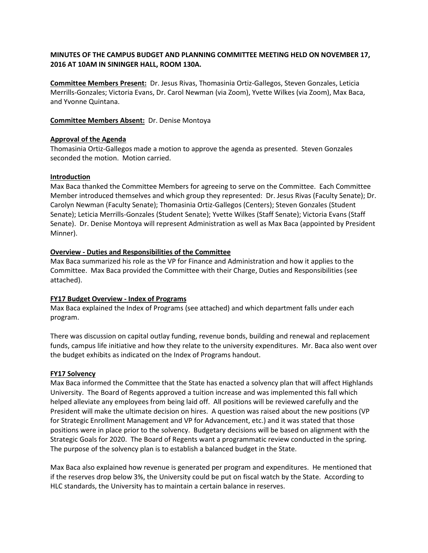# **MINUTES OF THE CAMPUS BUDGET AND PLANNING COMMITTEE MEETING HELD ON NOVEMBER 17, 2016 AT 10AM IN SININGER HALL, ROOM 130A.**

**Committee Members Present:** Dr. Jesus Rivas, Thomasinia Ortiz-Gallegos, Steven Gonzales, Leticia Merrills-Gonzales; Victoria Evans, Dr. Carol Newman (via Zoom), Yvette Wilkes (via Zoom), Max Baca, and Yvonne Quintana.

## **Committee Members Absent:** Dr. Denise Montoya

## **Approval of the Agenda**

Thomasinia Ortiz-Gallegos made a motion to approve the agenda as presented. Steven Gonzales seconded the motion. Motion carried.

### **Introduction**

Max Baca thanked the Committee Members for agreeing to serve on the Committee. Each Committee Member introduced themselves and which group they represented: Dr. Jesus Rivas (Faculty Senate); Dr. Carolyn Newman (Faculty Senate); Thomasinia Ortiz-Gallegos (Centers); Steven Gonzales (Student Senate); Leticia Merrills-Gonzales (Student Senate); Yvette Wilkes (Staff Senate); Victoria Evans (Staff Senate). Dr. Denise Montoya will represent Administration as well as Max Baca (appointed by President Minner).

## **Overview - Duties and Responsibilities of the Committee**

Max Baca summarized his role as the VP for Finance and Administration and how it applies to the Committee. Max Baca provided the Committee with their Charge, Duties and Responsibilities (see attached).

#### **FY17 Budget Overview - Index of Programs**

Max Baca explained the Index of Programs (see attached) and which department falls under each program.

There was discussion on capital outlay funding, revenue bonds, building and renewal and replacement funds, campus life initiative and how they relate to the university expenditures. Mr. Baca also went over the budget exhibits as indicated on the Index of Programs handout.

#### **FY17 Solvency**

Max Baca informed the Committee that the State has enacted a solvency plan that will affect Highlands University. The Board of Regents approved a tuition increase and was implemented this fall which helped alleviate any employees from being laid off. All positions will be reviewed carefully and the President will make the ultimate decision on hires. A question was raised about the new positions (VP for Strategic Enrollment Management and VP for Advancement, etc.) and it was stated that those positions were in place prior to the solvency. Budgetary decisions will be based on alignment with the Strategic Goals for 2020. The Board of Regents want a programmatic review conducted in the spring. The purpose of the solvency plan is to establish a balanced budget in the State.

Max Baca also explained how revenue is generated per program and expenditures. He mentioned that if the reserves drop below 3%, the University could be put on fiscal watch by the State. According to HLC standards, the University has to maintain a certain balance in reserves.